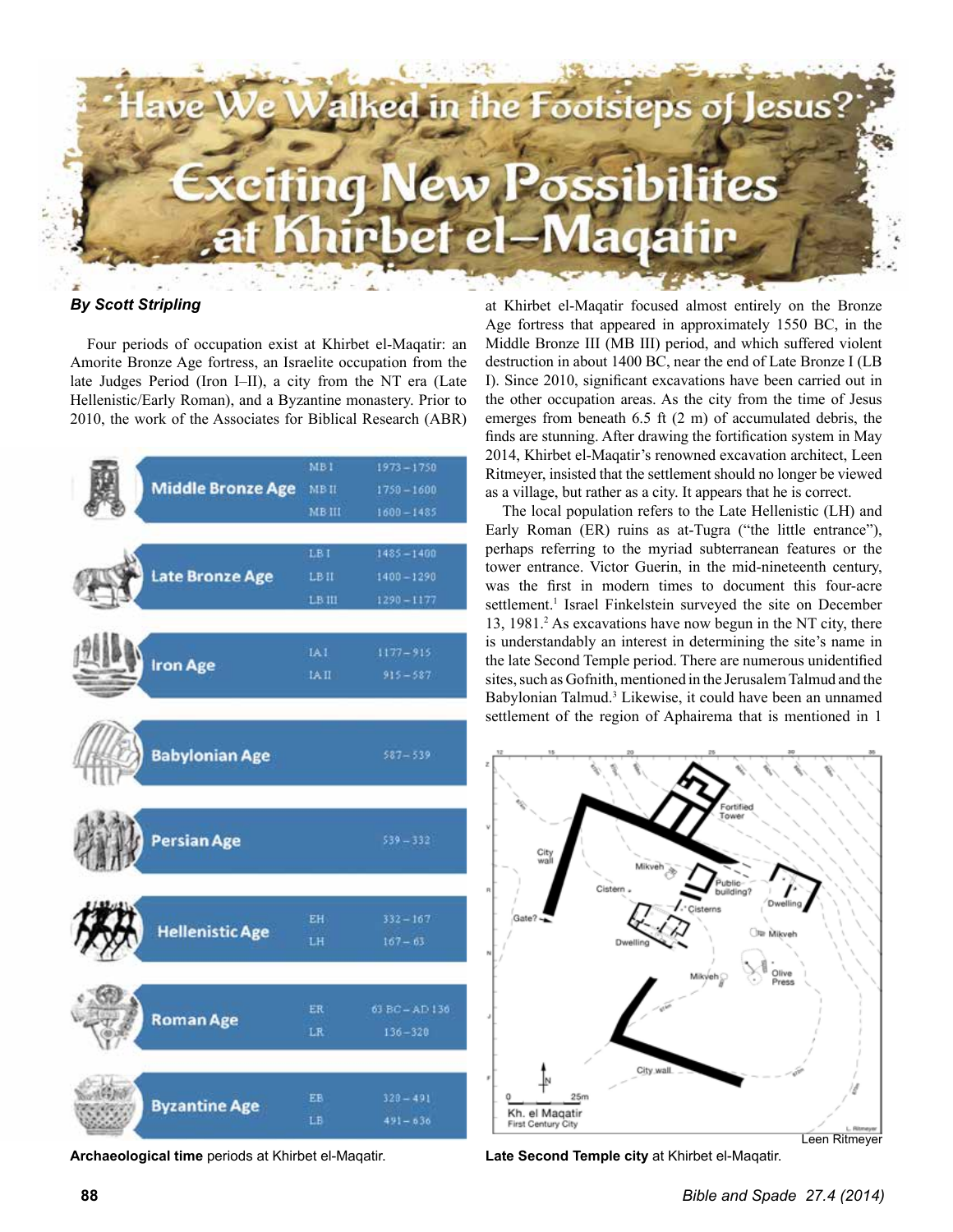

#### *By Scott Stripling*

Four periods of occupation exist at Khirbet el-Maqatir: an Amorite Bronze Age fortress, an Israelite occupation from the late Judges Period (Iron I–II), a city from the NT era (Late Hellenistic/Early Roman), and a Byzantine monastery. Prior to 2010, the work of the Associates for Biblical Research (ABR)



**Archaeological time** periods at Khirbet el-Maqatir.

at Khirbet el-Maqatir focused almost entirely on the Bronze Age fortress that appeared in approximately 1550 BC, in the Middle Bronze III (MB III) period, and which suffered violent destruction in about 1400 BC, near the end of Late Bronze I (LB I). Since 2010, significant excavations have been carried out in the other occupation areas. As the city from the time of Jesus emerges from beneath 6.5 ft (2 m) of accumulated debris, the finds are stunning. After drawing the fortification system in May 2014, Khirbet el-Maqatir's renowned excavation architect, Leen Ritmeyer, insisted that the settlement should no longer be viewed as a village, but rather as a city. It appears that he is correct.

The local population refers to the Late Hellenistic (LH) and Early Roman (ER) ruins as at-Tugra ("the little entrance"), perhaps referring to the myriad subterranean features or the tower entrance. Victor Guerin, in the mid-nineteenth century, was the first in modern times to document this four-acre settlement.<sup>1</sup> Israel Finkelstein surveyed the site on December 13, 1981.<sup>2</sup> As excavations have now begun in the NT city, there is understandably an interest in determining the site's name in the late Second Temple period. There are numerous unidentified sites, such as Gofnith, mentioned in the Jerusalem Talmud and the Babylonian Talmud.<sup>3</sup> Likewise, it could have been an unnamed settlement of the region of Aphairema that is mentioned in 1



**Late Second Temple city** at Khirbet el-Maqatir.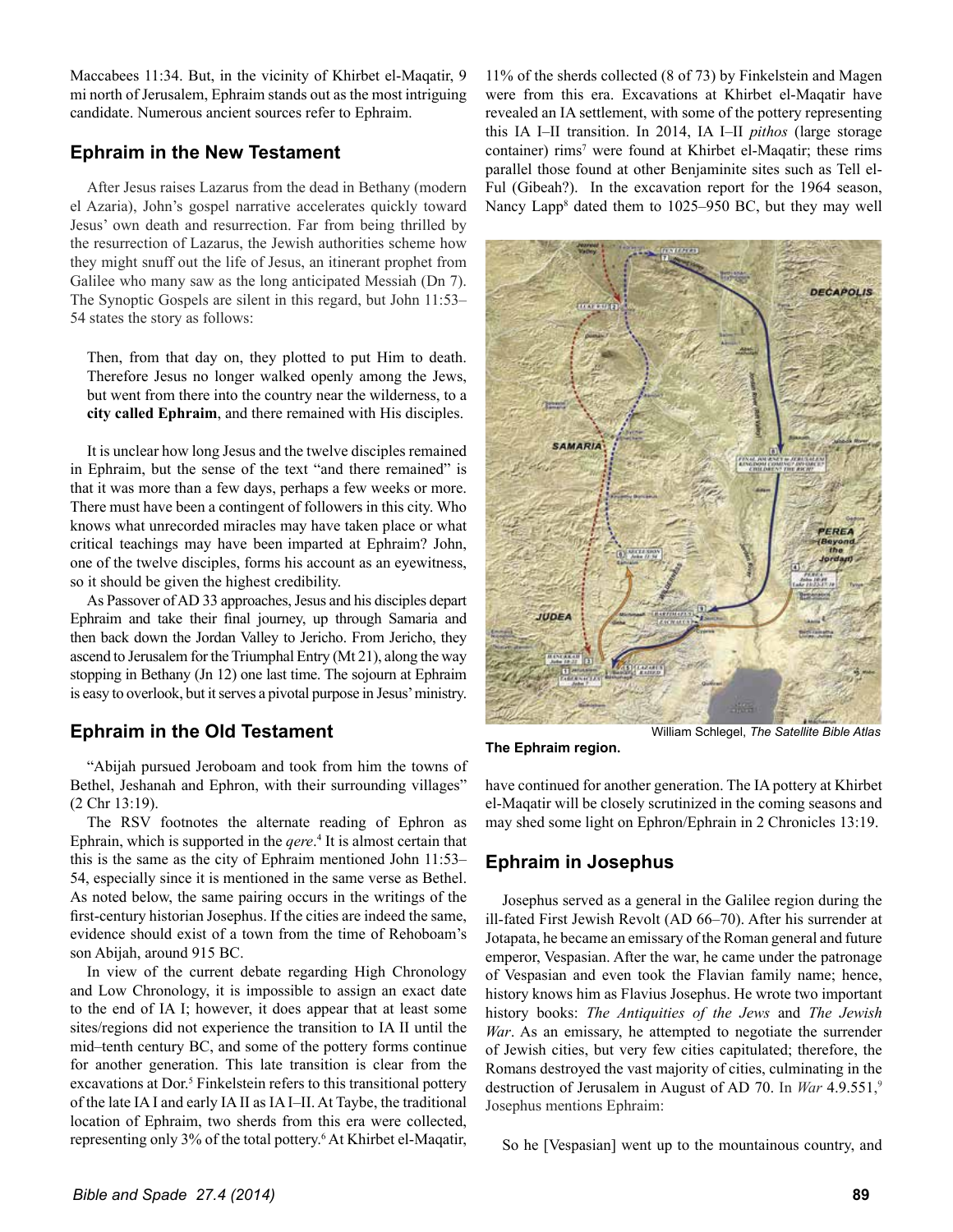Maccabees 11:34. But, in the vicinity of Khirbet el-Maqatir, 9 mi north of Jerusalem, Ephraim stands out as the most intriguing candidate. Numerous ancient sources refer to Ephraim.

## **Ephraim in the New Testament**

After Jesus raises Lazarus from the dead in Bethany (modern el Azaria), John's gospel narrative accelerates quickly toward Jesus' own death and resurrection. Far from being thrilled by the resurrection of Lazarus, the Jewish authorities scheme how they might snuff out the life of Jesus, an itinerant prophet from Galilee who many saw as the long anticipated Messiah (Dn 7). The Synoptic Gospels are silent in this regard, but John 11:53– 54 states the story as follows:

Then, from that day on, they plotted to put Him to death. Therefore Jesus no longer walked openly among the Jews, but went from there into the country near the wilderness, to a **city called Ephraim**, and there remained with His disciples.

It is unclear how long Jesus and the twelve disciples remained in Ephraim, but the sense of the text "and there remained" is that it was more than a few days, perhaps a few weeks or more. There must have been a contingent of followers in this city. Who knows what unrecorded miracles may have taken place or what critical teachings may have been imparted at Ephraim? John, one of the twelve disciples, forms his account as an eyewitness, so it should be given the highest credibility.

As Passover of AD 33 approaches, Jesus and his disciples depart Ephraim and take their final journey, up through Samaria and then back down the Jordan Valley to Jericho. From Jericho, they ascend to Jerusalem for the Triumphal Entry (Mt 21), along the way stopping in Bethany (Jn 12) one last time. The sojourn at Ephraim is easy to overlook, but it serves a pivotal purpose in Jesus' ministry.

# **Ephraim in the Old Testament**

"Abijah pursued Jeroboam and took from him the towns of Bethel, Jeshanah and Ephron, with their surrounding villages" (2 Chr 13:19).

The RSV footnotes the alternate reading of Ephron as Ephrain, which is supported in the *gere*.<sup>4</sup> It is almost certain that this is the same as the city of Ephraim mentioned John 11:53– 54, especially since it is mentioned in the same verse as Bethel. As noted below, the same pairing occurs in the writings of the first-century historian Josephus. If the cities are indeed the same, evidence should exist of a town from the time of Rehoboam's son Abijah, around 915 BC.

In view of the current debate regarding High Chronology and Low Chronology, it is impossible to assign an exact date to the end of IA I; however, it does appear that at least some sites/regions did not experience the transition to IA II until the mid–tenth century BC, and some of the pottery forms continue for another generation. This late transition is clear from the excavations at Dor.<sup>5</sup> Finkelstein refers to this transitional pottery of the late IA I and early IA II as IA I–II. At Taybe, the traditional location of Ephraim, two sherds from this era were collected, representing only 3% of the total pottery.6 At Khirbet el-Maqatir, 11% of the sherds collected (8 of 73) by Finkelstein and Magen were from this era. Excavations at Khirbet el-Maqatir have revealed an IA settlement, with some of the pottery representing this IA I–II transition. In 2014, IA I–II *pithos* (large storage container) rims<sup>7</sup> were found at Khirbet el-Maqatir; these rims parallel those found at other Benjaminite sites such as Tell el-Ful (Gibeah?). In the excavation report for the 1964 season, Nancy Lapp<sup>8</sup> dated them to 1025–950 BC, but they may well



**The Ephraim region.**

William Schlegel, *The Satellite Bible Atlas*

have continued for another generation. The IA pottery at Khirbet el-Maqatir will be closely scrutinized in the coming seasons and may shed some light on Ephron/Ephrain in 2 Chronicles 13:19.

# **Ephraim in Josephus**

Josephus served as a general in the Galilee region during the ill-fated First Jewish Revolt (AD 66–70). After his surrender at Jotapata, he became an emissary of the Roman general and future emperor, Vespasian. After the war, he came under the patronage of Vespasian and even took the Flavian family name; hence, history knows him as Flavius Josephus. He wrote two important history books: *The Antiquities of the Jews* and *The Jewish War*. As an emissary, he attempted to negotiate the surrender of Jewish cities, but very few cities capitulated; therefore, the Romans destroyed the vast majority of cities, culminating in the destruction of Jerusalem in August of AD 70. In *War* 4.9.551, 9 Josephus mentions Ephraim:

So he [Vespasian] went up to the mountainous country, and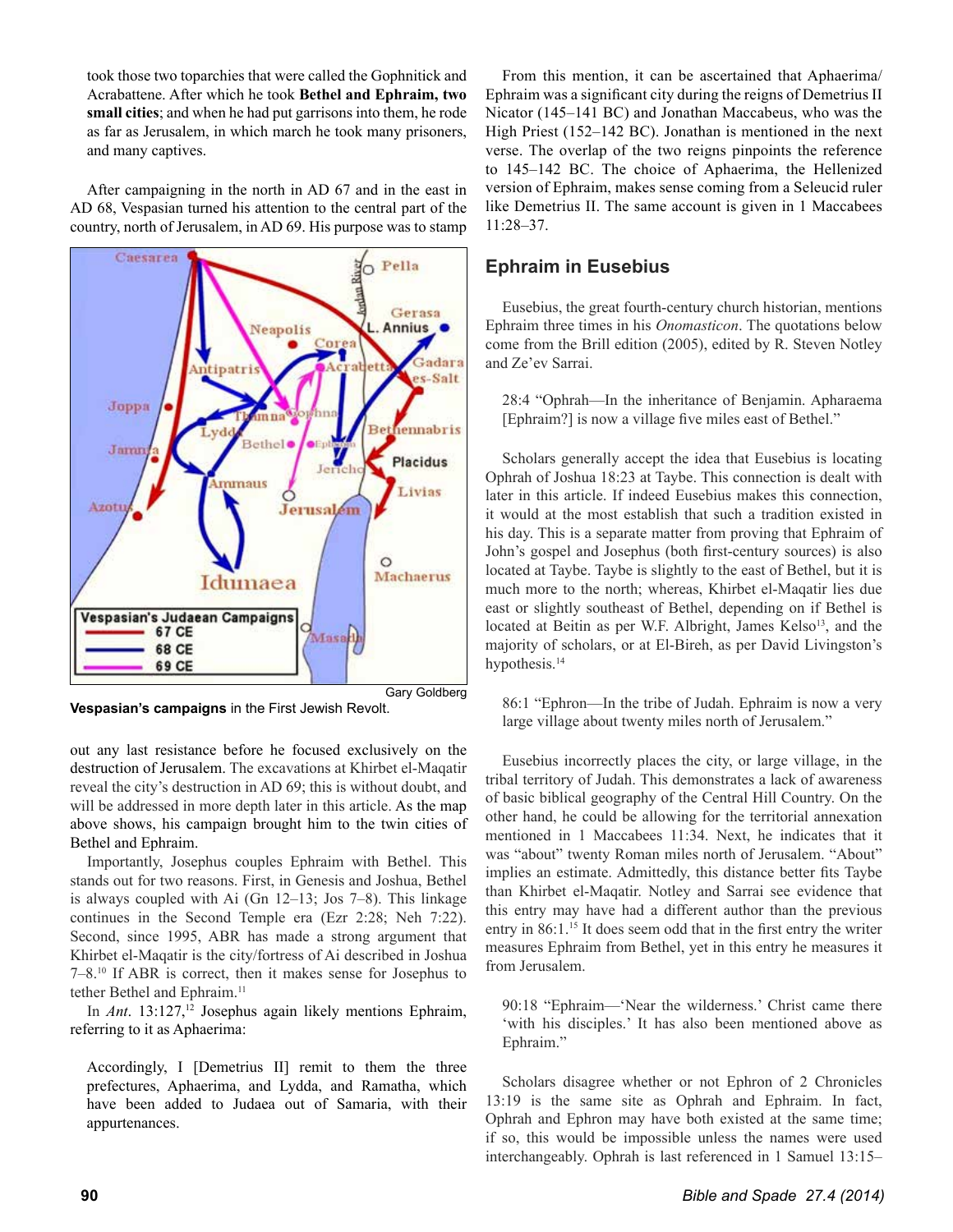took those two toparchies that were called the Gophnitick and Acrabattene. After which he took **Bethel and Ephraim, two small cities**; and when he had put garrisons into them, he rode as far as Jerusalem, in which march he took many prisoners, and many captives.

After campaigning in the north in AD 67 and in the east in AD 68, Vespasian turned his attention to the central part of the country, north of Jerusalem, in AD 69. His purpose was to stamp



**Vespasian's campaigns** in the First Jewish Revolt.

out any last resistance before he focused exclusively on the destruction of Jerusalem. The excavations at Khirbet el-Maqatir reveal the city's destruction in AD 69; this is without doubt, and will be addressed in more depth later in this article. As the map above shows, his campaign brought him to the twin cities of Bethel and Ephraim.

Importantly, Josephus couples Ephraim with Bethel. This stands out for two reasons. First, in Genesis and Joshua, Bethel is always coupled with Ai (Gn 12–13; Jos 7–8). This linkage continues in the Second Temple era (Ezr 2:28; Neh 7:22). Second, since 1995, ABR has made a strong argument that Khirbet el-Maqatir is the city/fortress of Ai described in Joshua 7–8.10 If ABR is correct, then it makes sense for Josephus to tether Bethel and Ephraim.<sup>11</sup>

In *Ant*. 13:127,<sup>12</sup> Josephus again likely mentions Ephraim, referring to it as Aphaerima:

Accordingly, I [Demetrius II] remit to them the three prefectures, Aphaerima, and Lydda, and Ramatha, which have been added to Judaea out of Samaria, with their appurtenances.

From this mention, it can be ascertained that Aphaerima/ Ephraim was a significant city during the reigns of Demetrius II Nicator (145–141 BC) and Jonathan Maccabeus, who was the High Priest (152–142 BC). Jonathan is mentioned in the next verse. The overlap of the two reigns pinpoints the reference to 145–142 BC. The choice of Aphaerima, the Hellenized version of Ephraim, makes sense coming from a Seleucid ruler like Demetrius II. The same account is given in 1 Maccabees 11:28–37.

# **Ephraim in Eusebius**

Eusebius, the great fourth-century church historian, mentions Ephraim three times in his *Onomasticon*. The quotations below come from the Brill edition (2005), edited by R. Steven Notley and Ze'ev Sarrai.

28:4 "Ophrah—In the inheritance of Benjamin. Apharaema [Ephraim?] is now a village five miles east of Bethel."

Scholars generally accept the idea that Eusebius is locating Ophrah of Joshua 18:23 at Taybe. This connection is dealt with later in this article. If indeed Eusebius makes this connection, it would at the most establish that such a tradition existed in his day. This is a separate matter from proving that Ephraim of John's gospel and Josephus (both first-century sources) is also located at Taybe. Taybe is slightly to the east of Bethel, but it is much more to the north; whereas, Khirbet el-Maqatir lies due east or slightly southeast of Bethel, depending on if Bethel is located at Beitin as per W.F. Albright, James Kelso<sup>13</sup>, and the majority of scholars, or at El-Bireh, as per David Livingston's hypothesis.<sup>14</sup>

86:1 "Ephron—In the tribe of Judah. Ephraim is now a very large village about twenty miles north of Jerusalem."

Eusebius incorrectly places the city, or large village, in the tribal territory of Judah. This demonstrates a lack of awareness of basic biblical geography of the Central Hill Country. On the other hand, he could be allowing for the territorial annexation mentioned in 1 Maccabees 11:34. Next, he indicates that it was "about" twenty Roman miles north of Jerusalem. "About" implies an estimate. Admittedly, this distance better fits Taybe than Khirbet el-Maqatir. Notley and Sarrai see evidence that this entry may have had a different author than the previous entry in  $86:1$ .<sup>15</sup> It does seem odd that in the first entry the writer measures Ephraim from Bethel, yet in this entry he measures it from Jerusalem.

90:18 "Ephraim—'Near the wilderness.' Christ came there 'with his disciples.' It has also been mentioned above as Ephraim."

Scholars disagree whether or not Ephron of 2 Chronicles 13:19 is the same site as Ophrah and Ephraim. In fact, Ophrah and Ephron may have both existed at the same time; if so, this would be impossible unless the names were used interchangeably. Ophrah is last referenced in 1 Samuel 13:15–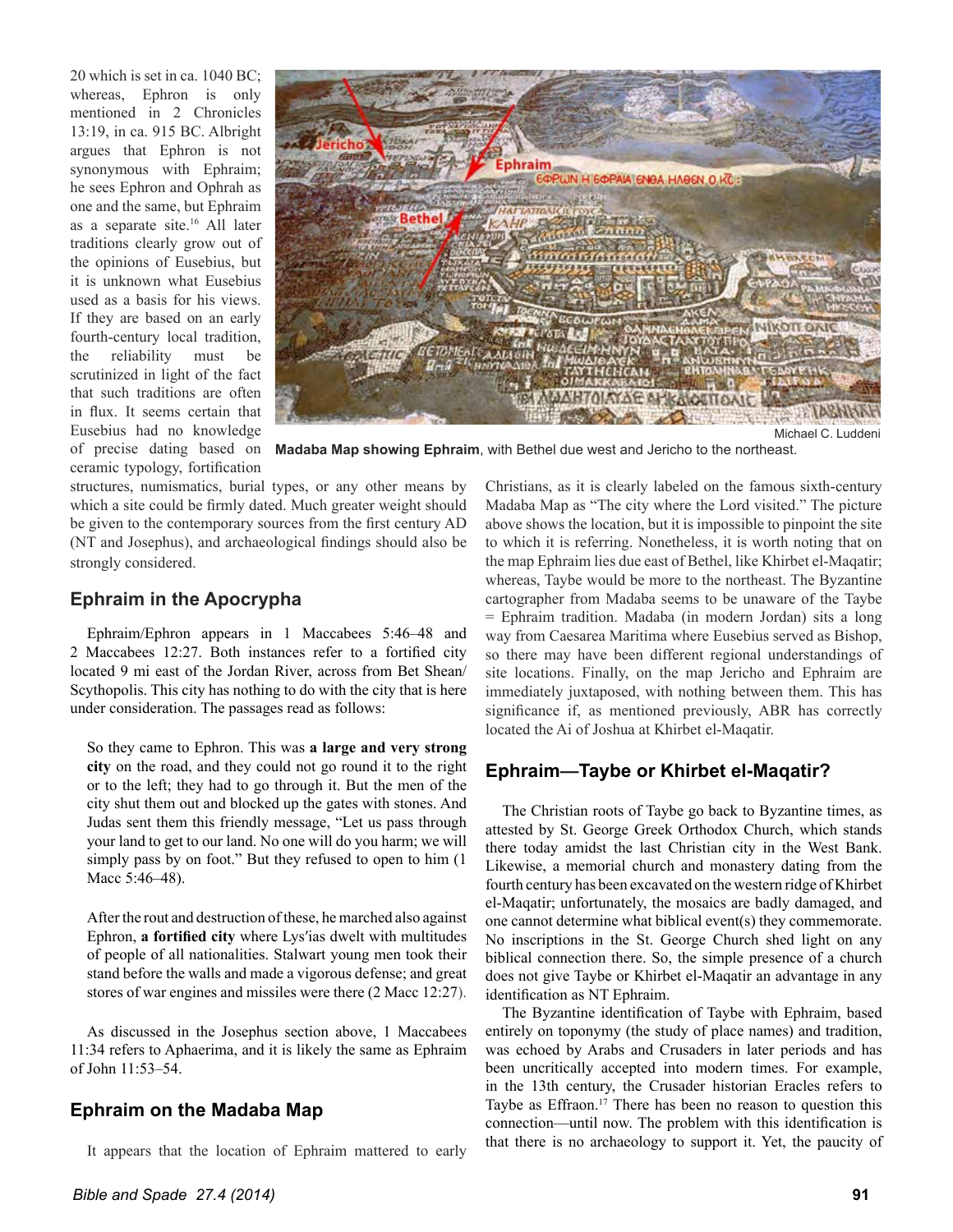20 which is set in ca. 1040 BC; whereas, Ephron is only mentioned in 2 Chronicles 13:19, in ca. 915 BC. Albright argues that Ephron is not synonymous with Ephraim; he sees Ephron and Ophrah as one and the same, but Ephraim as a separate site.16 All later traditions clearly grow out of the opinions of Eusebius, but it is unknown what Eusebius used as a basis for his views. If they are based on an early fourth-century local tradition, the reliability must be scrutinized in light of the fact that such traditions are often in flux. It seems certain that Eusebius had no knowledge ceramic typology, fortification



of precise dating based on **Madaba Map showing Ephraim**, with Bethel due west and Jericho to the northeast.

structures, numismatics, burial types, or any other means by which a site could be firmly dated. Much greater weight should be given to the contemporary sources from the first century AD (NT and Josephus), and archaeological findings should also be strongly considered.

#### **Ephraim in the Apocrypha**

Ephraim/Ephron appears in 1 Maccabees 5:46–48 and 2 Maccabees 12:27. Both instances refer to a fortified city located 9 mi east of the Jordan River, across from Bet Shean/ Scythopolis. This city has nothing to do with the city that is here under consideration. The passages read as follows:

So they came to Ephron. This was **a large and very strong city** on the road, and they could not go round it to the right or to the left; they had to go through it. But the men of the city shut them out and blocked up the gates with stones. And Judas sent them this friendly message, "Let us pass through your land to get to our land. No one will do you harm; we will simply pass by on foot." But they refused to open to him (1 Macc 5:46–48).

After the rout and destruction of these, he marched also against Ephron, a fortified city where Lys'ias dwelt with multitudes of people of all nationalities. Stalwart young men took their stand before the walls and made a vigorous defense; and great stores of war engines and missiles were there (2 Macc 12:27).

As discussed in the Josephus section above, 1 Maccabees 11:34 refers to Aphaerima, and it is likely the same as Ephraim of John 11:53–54.

# **Ephraim on the Madaba Map**

It appears that the location of Ephraim mattered to early

Madaba Map as "The city where the Lord visited." The picture above shows the location, but it is impossible to pinpoint the site to which it is referring. Nonetheless, it is worth noting that on the map Ephraim lies due east of Bethel, like Khirbet el-Maqatir; whereas, Taybe would be more to the northeast. The Byzantine cartographer from Madaba seems to be unaware of the Taybe = Ephraim tradition. Madaba (in modern Jordan) sits a long way from Caesarea Maritima where Eusebius served as Bishop, so there may have been different regional understandings of site locations. Finally, on the map Jericho and Ephraim are immediately juxtaposed, with nothing between them. This has significance if, as mentioned previously, ABR has correctly located the Ai of Joshua at Khirbet el-Maqatir.

Christians, as it is clearly labeled on the famous sixth-century

### **Ephraim—Taybe or Khirbet el-Maqatir?**

The Christian roots of Taybe go back to Byzantine times, as attested by St. George Greek Orthodox Church, which stands there today amidst the last Christian city in the West Bank. Likewise, a memorial church and monastery dating from the fourth century has been excavated on the western ridge of Khirbet el-Maqatir; unfortunately, the mosaics are badly damaged, and one cannot determine what biblical event(s) they commemorate. No inscriptions in the St. George Church shed light on any biblical connection there. So, the simple presence of a church does not give Taybe or Khirbet el-Maqatir an advantage in any identification as NT Ephraim.

The Byzantine identification of Taybe with Ephraim, based entirely on toponymy (the study of place names) and tradition, was echoed by Arabs and Crusaders in later periods and has been uncritically accepted into modern times. For example, in the 13th century, the Crusader historian Eracles refers to Taybe as Effraon.<sup>17</sup> There has been no reason to question this connection—until now. The problem with this identification is that there is no archaeology to support it. Yet, the paucity of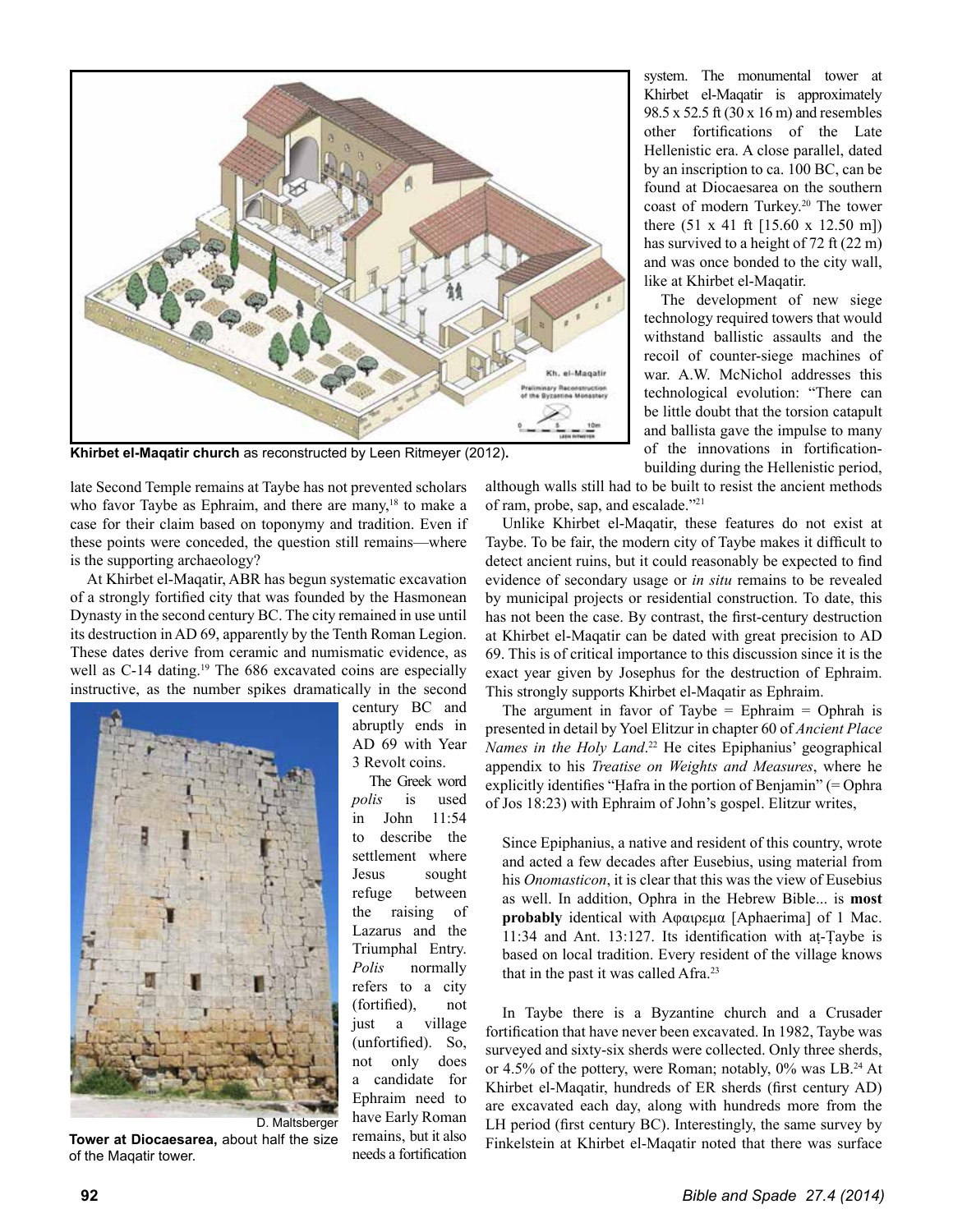

**Khirbet el-Maqatir church** as reconstructed by Leen Ritmeyer (2012)**.**

late Second Temple remains at Taybe has not prevented scholars who favor Taybe as Ephraim, and there are many, $18$  to make a case for their claim based on toponymy and tradition. Even if these points were conceded, the question still remains—where is the supporting archaeology?

At Khirbet el-Maqatir, ABR has begun systematic excavation of a strongly fortified city that was founded by the Hasmonean Dynasty in the second century BC. The city remained in use until its destruction in AD 69, apparently by the Tenth Roman Legion. These dates derive from ceramic and numismatic evidence, as well as C-14 dating.<sup>19</sup> The 686 excavated coins are especially instructive, as the number spikes dramatically in the second



**Tower at Diocaesarea,** about half the size of the Maqatir tower.

century BC and abruptly ends in AD 69 with Year 3 Revolt coins.

The Greek word *polis* is used in John 11:54 to describe the settlement where Jesus sought refuge between the raising of Lazarus and the Triumphal Entry. *Polis* normally refers to a city  $(forified)$ , not just a village (unfortified). So, not only does a candidate for Ephraim need to have Early Roman remains, but it also needs a fortification system. The monumental tower at Khirbet el-Maqatir is approximately 98.5 x 52.5 ft (30 x 16 m) and resembles other fortifications of the Late Hellenistic era. A close parallel, dated by an inscription to ca. 100 BC, can be found at Diocaesarea on the southern coast of modern Turkey.<sup>20</sup> The tower there (51 x 41 ft [15.60 x 12.50 m]) has survived to a height of 72 ft (22 m) and was once bonded to the city wall, like at Khirbet el-Maqatir.

The development of new siege technology required towers that would withstand ballistic assaults and the recoil of counter-siege machines of war. A.W. McNichol addresses this technological evolution: "There can be little doubt that the torsion catapult and ballista gave the impulse to many of the innovations in fortificationbuilding during the Hellenistic period,

although walls still had to be built to resist the ancient methods of ram, probe, sap, and escalade."21

Unlike Khirbet el-Maqatir, these features do not exist at Taybe. To be fair, the modern city of Taybe makes it difficult to detect ancient ruins, but it could reasonably be expected to find evidence of secondary usage or *in situ* remains to be revealed by municipal projects or residential construction. To date, this has not been the case. By contrast, the first-century destruction at Khirbet el-Maqatir can be dated with great precision to AD 69. This is of critical importance to this discussion since it is the exact year given by Josephus for the destruction of Ephraim. This strongly supports Khirbet el-Maqatir as Ephraim.

The argument in favor of Taybe  $=$  Ephraim  $=$  Ophrah is presented in detail by Yoel Elitzur in chapter 60 of *Ancient Place Names in the Holy Land*. 22 He cites Epiphanius' geographical appendix to his *Treatise on Weights and Measures*, where he explicitly identifies "Hafra in the portion of Benjamin" (= Ophra of Jos 18:23) with Ephraim of John's gospel. Elitzur writes,

Since Epiphanius, a native and resident of this country, wrote and acted a few decades after Eusebius, using material from his *Onomasticon*, it is clear that this was the view of Eusebius as well. In addition, Ophra in the Hebrew Bible... is **most**  probably identical with Αφαιρεμα [Aphaerima] of 1 Mac.  $11:34$  and Ant. 13:127. Its identification with at-Taybe is based on local tradition. Every resident of the village knows that in the past it was called Afra.<sup>23</sup>

In Taybe there is a Byzantine church and a Crusader fortification that have never been excavated. In 1982, Taybe was surveyed and sixty-six sherds were collected. Only three sherds, or 4.5% of the pottery, were Roman; notably,  $0\%$  was LB.<sup>24</sup> At Khirbet el-Maqatir, hundreds of ER sherds (first century AD) are excavated each day, along with hundreds more from the LH period (first century BC). Interestingly, the same survey by Finkelstein at Khirbet el-Maqatir noted that there was surface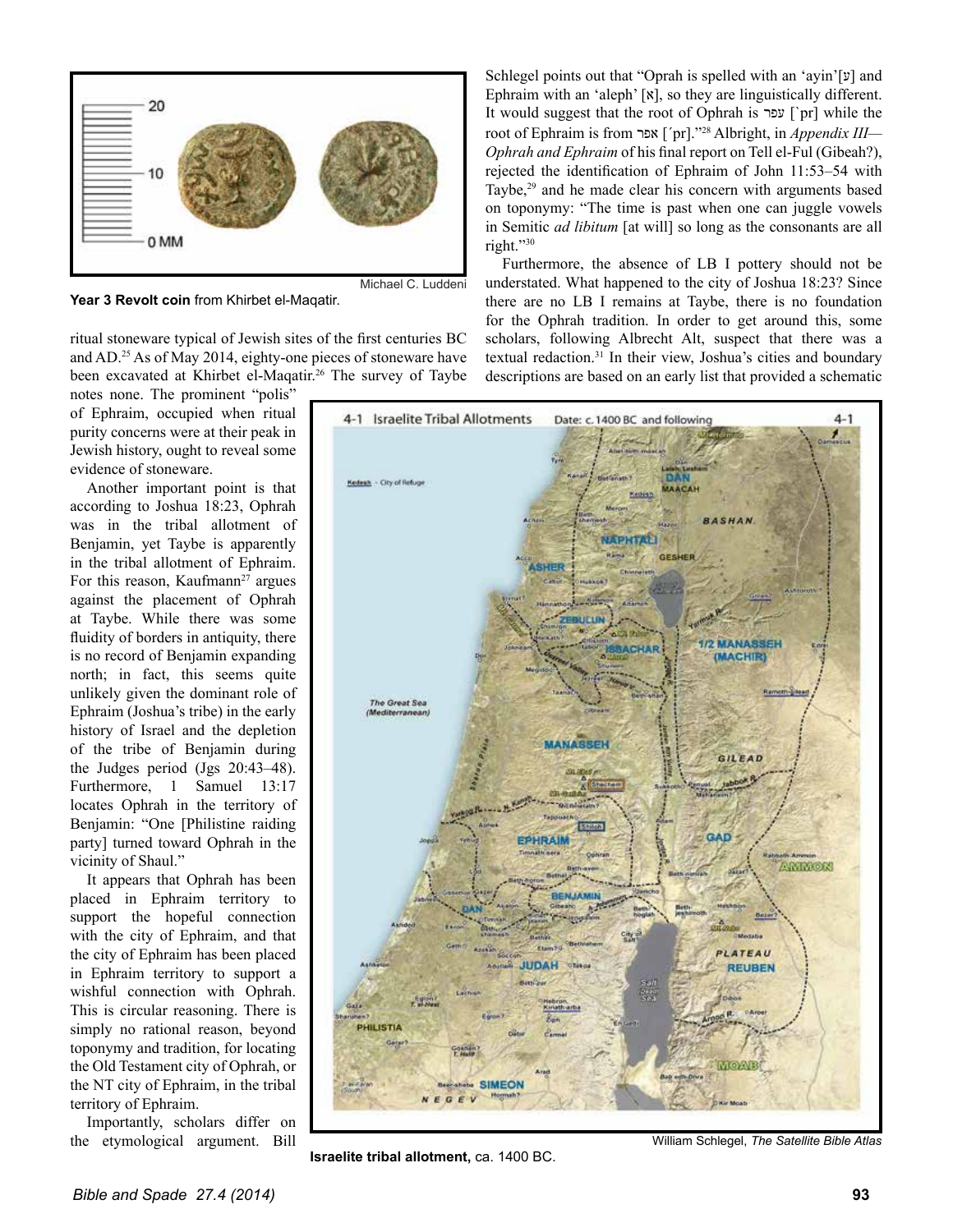

**Year 3 Revolt coin** from Khirbet el-Maqatir.

ritual stoneware typical of Jewish sites of the first centuries BC and AD.25 As of May 2014, eighty-one pieces of stoneware have been excavated at Khirbet el-Maqatir.<sup>26</sup> The survey of Taybe

notes none. The prominent "polis" of Ephraim, occupied when ritual purity concerns were at their peak in Jewish history, ought to reveal some evidence of stoneware.

Another important point is that according to Joshua 18:23, Ophrah was in the tribal allotment of Benjamin, yet Taybe is apparently in the tribal allotment of Ephraim. For this reason, Kaufmann<sup>27</sup> argues against the placement of Ophrah at Taybe. While there was some fluidity of borders in antiquity, there is no record of Benjamin expanding north; in fact, this seems quite unlikely given the dominant role of Ephraim (Joshua's tribe) in the early history of Israel and the depletion of the tribe of Benjamin during the Judges period (Jgs 20:43–48). Furthermore, 1 Samuel 13:17 locates Ophrah in the territory of Benjamin: "One [Philistine raiding] party] turned toward Ophrah in the vicinity of Shaul."

It appears that Ophrah has been placed in Ephraim territory to support the hopeful connection with the city of Ephraim, and that the city of Ephraim has been placed in Ephraim territory to support a wishful connection with Ophrah. This is circular reasoning. There is simply no rational reason, beyond toponymy and tradition, for locating the Old Testament city of Ophrah, or the NT city of Ephraim, in the tribal territory of Ephraim.

Importantly, scholars differ on the etymological argument. Bill

Schlegel points out that "Oprah is spelled with an 'ayin'[ $\nu$ ] and Ephraim with an 'aleph'  $[x]$ , so they are linguistically different. It would suggest that the root of Ophrah is עפר [`pr] while the URRWRI(SKUDLPLVIURPʸʴʠ [´pr]."28 Albright, in *Appendix III— Ophrah and Ephraim* of his final report on Tell el-Ful (Gibeah?), rejected the identification of Ephraim of John 11:53-54 with Taybe,<sup>29</sup> and he made clear his concern with arguments based on toponymy: "The time is past when one can juggle vowels in Semitic *ad libitum* [at will] so long as the consonants are all right."30

Furthermore, the absence of LB I pottery should not be understated. What happened to the city of Joshua 18:23? Since there are no LB I remains at Taybe, there is no foundation for the Ophrah tradition. In order to get around this, some scholars, following Albrecht Alt, suspect that there was a textual redaction.31 In their view, Joshua's cities and boundary descriptions are based on an early list that provided a schematic



**Israelite tribal allotment,** ca. 1400 BC.

William Schlegel, *The Satellite Bible Atlas*